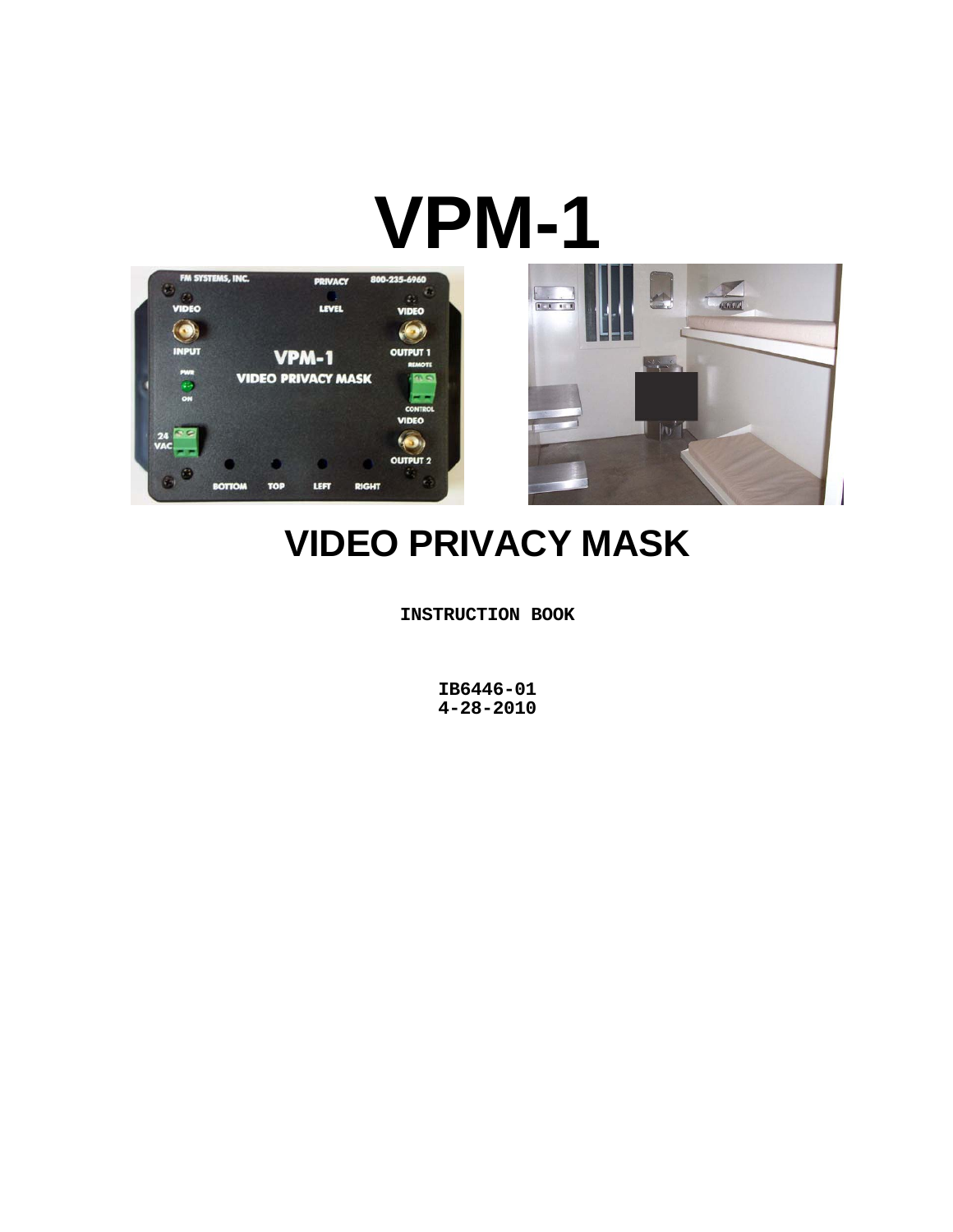# **VPM-1**





# **VIDEO PRIVACY MASK**

**INSTRUCTION BOOK** 

**IB6446-01 4-28-2010**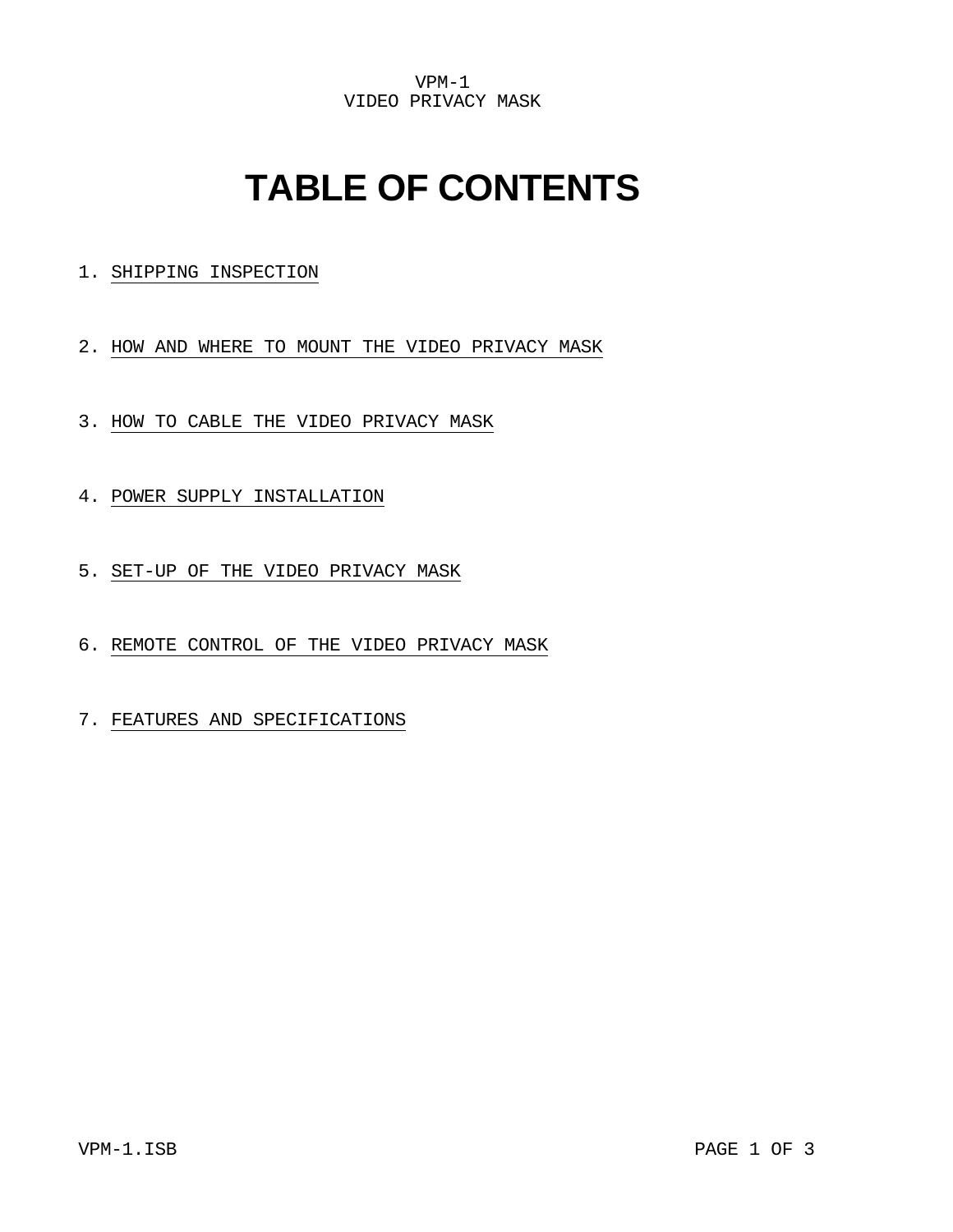VPM-1 VIDEO PRIVACY MASK

# **TABLE OF CONTENTS**

1. SHIPPING INSPECTION

2. HOW AND WHERE TO MOUNT THE VIDEO PRIVACY MASK

- 3. HOW TO CABLE THE VIDEO PRIVACY MASK
- 4. POWER SUPPLY INSTALLATION
- 5. SET-UP OF THE VIDEO PRIVACY MASK
- 6. REMOTE CONTROL OF THE VIDEO PRIVACY MASK
- 7. FEATURES AND SPECIFICATIONS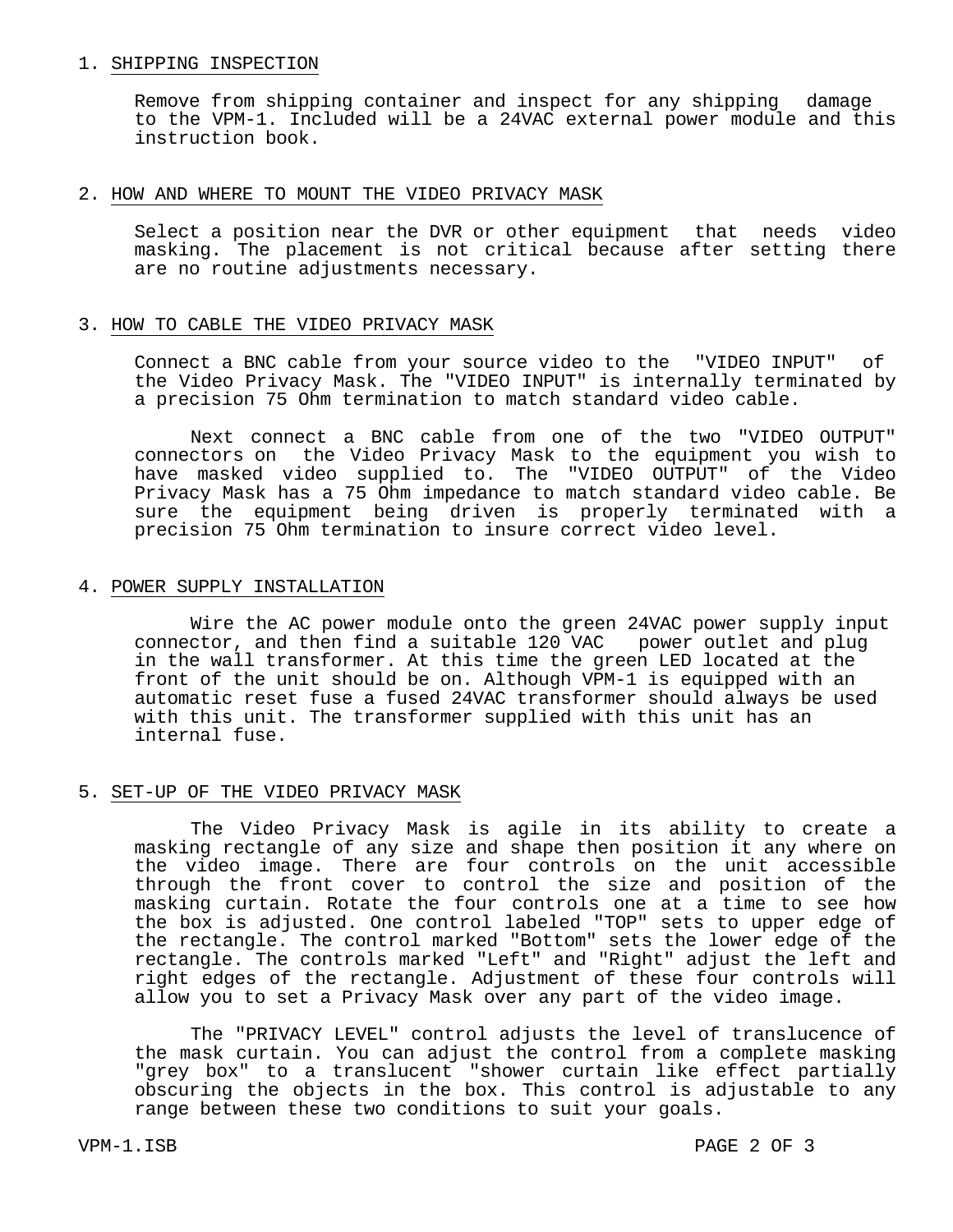#### 1. SHIPPING INSPECTION

 Remove from shipping container and inspect for any shipping damage to the VPM-1. Included will be a 24VAC external power module and this instruction book.

#### 2. HOW AND WHERE TO MOUNT THE VIDEO PRIVACY MASK

 Select a position near the DVR or other equipment that needs video masking. The placement is not critical because after setting there are no routine adjustments necessary.

### 3. HOW TO CABLE THE VIDEO PRIVACY MASK

 Connect a BNC cable from your source video to the "VIDEO INPUT" of the Video Privacy Mask. The "VIDEO INPUT" is internally terminated by a precision 75 Ohm termination to match standard video cable.

 Next connect a BNC cable from one of the two "VIDEO OUTPUT" connectors on the Video Privacy Mask to the equipment you wish to have masked video supplied to. The "VIDEO OUTPUT" of the Video Privacy Mask has a 75 Ohm impedance to match standard video cable. Be sure the equipment being driven is properly terminated with a precision 75 Ohm termination to insure correct video level.

### 4. POWER SUPPLY INSTALLATION

 Wire the AC power module onto the green 24VAC power supply input connector, and then find a suitable 120 VAC power outlet and plug in the wall transformer. At this time the green LED located at the front of the unit should be on. Although VPM-1 is equipped with an automatic reset fuse a fused 24VAC transformer should always be used with this unit. The transformer supplied with this unit has an internal fuse.

### 5. SET-UP OF THE VIDEO PRIVACY MASK

 The Video Privacy Mask is agile in its ability to create a masking rectangle of any size and shape then position it any where on the video image. There are four controls on the unit accessible through the front cover to control the size and position of the masking curtain. Rotate the four controls one at a time to see how the box is adjusted. One control labeled "TOP" sets to upper edge of the rectangle. The control marked "Bottom" sets the lower edge of the rectangle. The controls marked "Left" and "Right" adjust the left and right edges of the rectangle. Adjustment of these four controls will allow you to set a Privacy Mask over any part of the video image.

 The "PRIVACY LEVEL" control adjusts the level of translucence of the mask curtain. You can adjust the control from a complete masking "grey box" to a translucent "shower curtain like effect partially obscuring the objects in the box. This control is adjustable to any range between these two conditions to suit your goals.